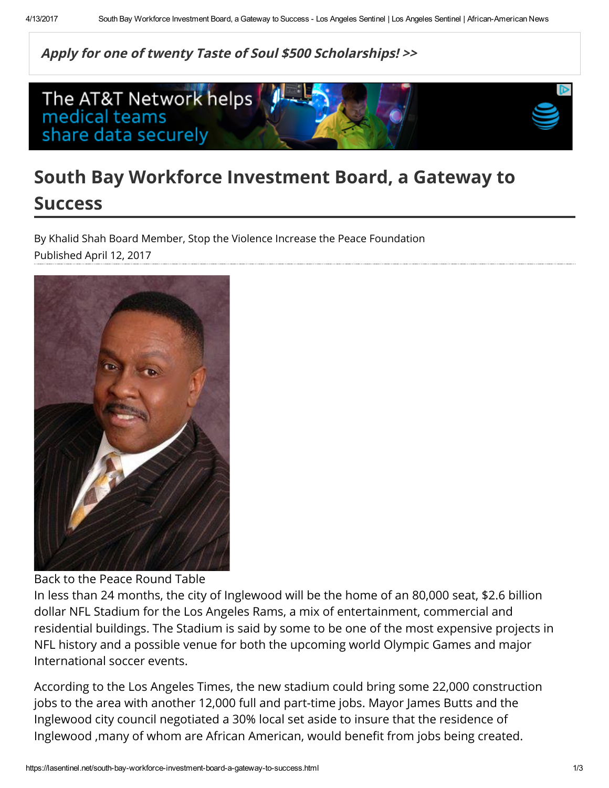Apply for one of twenty Taste of Soul \$500 [Scholarships!](http://tasteofsoul.org/scholarship) >>



## South Bay Workforce Investment Board, a Gateway to Success

Published April 12, 2017 By Khalid Shah Board Member, Stop the Violence Increase the Peace Foundation



Back to the Peace Round Table

In less than 24 months, the city of Inglewood will be the home of an 80,000 seat, \$2.6 billion dollar NFL Stadium for the Los Angeles Rams, a mix of entertainment, commercial and residential buildings. The Stadium is said by some to be one of the most expensive projects in NFL history and a possible venue for both the upcoming world Olympic Games and major International soccer events.

According to the Los Angeles Times, the new stadium could bring some 22,000 construction jobs to the area with another 12,000 full and part-time jobs. Mayor James Butts and the Inglewood city council negotiated a 30% local set aside to insure that the residence of Inglewood , many of whom are African American, would benefit from jobs being created.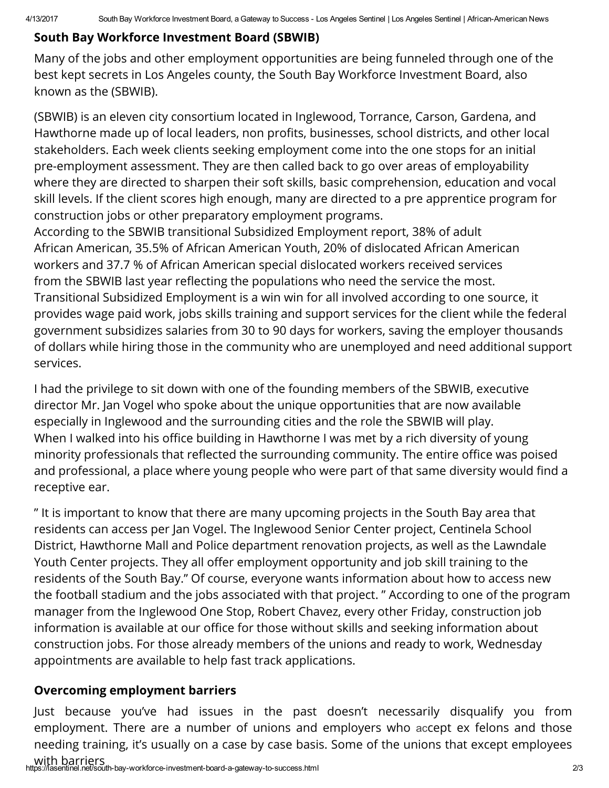## South Bay Workforce Investment Board (SBWIB)

Many of the jobs and other employment opportunities are being funneled through one of the best kept secrets in Los Angeles county, the South Bay Workforce Investment Board, also known as the (SBWIB).

(SBWIB) is an eleven city consortium located in Inglewood, Torrance, Carson, Gardena, and Hawthorne made up of local leaders, non profits, businesses, school districts, and other local stakeholders. Each week clients seeking employment come into the one stops for an initial pre-employment assessment. They are then called back to go over areas of employability where they are directed to sharpen their soft skills, basic comprehension, education and vocal skill levels. If the client scores high enough, many are directed to a pre apprentice program for construction jobs or other preparatory employment programs.

According to the SBWIB transitional Subsidized Employment report, 38% of adult African American, 35.5% of African American Youth, 20% of dislocated African American workers and 37.7 % of African American special dislocated workers received services from the SBWIB last year reflecting the populations who need the service the most. Transitional Subsidized Employment is a win win for all involved according to one source, it provides wage paid work, jobs skills training and support services for the client while the federal government subsidizes salaries from 30 to 90 days for workers, saving the employer thousands of dollars while hiring those in the community who are unemployed and need additional support services.

I had the privilege to sit down with one of the founding members of the SBWIB, executive director Mr. Jan Vogel who spoke about the unique opportunities that are now available especially in Inglewood and the surrounding cities and the role the SBWIB will play. When I walked into his office building in Hawthorne I was met by a rich diversity of young minority professionals that reflected the surrounding community. The entire office was poised and professional, a place where young people who were part of that same diversity would find a receptive ear.

" It is important to know that there are many upcoming projects in the South Bay area that residents can access per Jan Vogel. The Inglewood Senior Center project, Centinela School District, Hawthorne Mall and Police department renovation projects, as well as the Lawndale Youth Center projects. They all offer employment opportunity and job skill training to the residents of the South Bay." Of course, everyone wants information about how to access new the football stadium and the jobs associated with that project. " According to one of the program manager from the Inglewood One Stop, Robert Chavez, every other Friday, construction job information is available at our office for those without skills and seeking information about construction jobs. For those already members of the unions and ready to work, Wednesday appointments are available to help fast track applications.

## Overcoming employment barriers

Just because you've had issues in the past doesn't necessarily disqualify you from employment. There are a number of unions and employers who accept ex felons and those needing training, it's usually on a case by case basis. Some of the unions that except employees